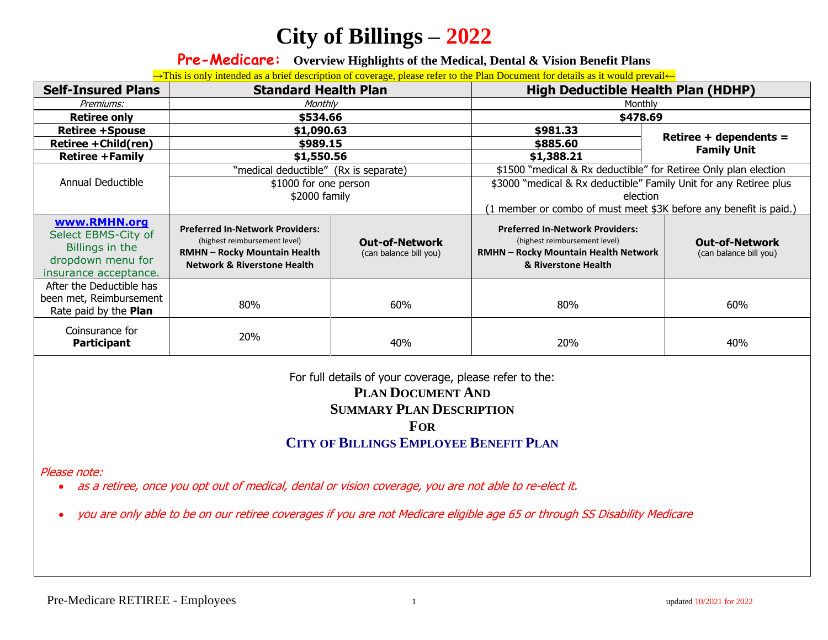**Pre-Medicare: Overview Highlights of the Medical, Dental & Vision Benefit Plans**

→This is only intended as a brief description of coverage, please refer to the Plan Document for details as it would prevail←

| <b>Self-Insured Plans</b>                                                                            | <b>Standard Health Plan</b>                                                                                                                              |                                                 | <b>High Deductible Health Plan (HDHP)</b>                                                                                                     |                                                 |
|------------------------------------------------------------------------------------------------------|----------------------------------------------------------------------------------------------------------------------------------------------------------|-------------------------------------------------|-----------------------------------------------------------------------------------------------------------------------------------------------|-------------------------------------------------|
| Premiums:                                                                                            | Monthly                                                                                                                                                  |                                                 | Monthly                                                                                                                                       |                                                 |
| <b>Retiree only</b>                                                                                  | \$534.66                                                                                                                                                 |                                                 | \$478.69                                                                                                                                      |                                                 |
| <b>Retiree +Spouse</b>                                                                               | \$1,090.63                                                                                                                                               |                                                 | \$981.33                                                                                                                                      |                                                 |
| Retiree + Child(ren)                                                                                 | \$989.15                                                                                                                                                 |                                                 | \$885.60                                                                                                                                      | Retiree + dependents =<br><b>Family Unit</b>    |
| <b>Retiree +Family</b>                                                                               | \$1,550.56                                                                                                                                               |                                                 | \$1,388.21                                                                                                                                    |                                                 |
|                                                                                                      | "medical deductible" (Rx is separate)                                                                                                                    |                                                 | \$1500 "medical & Rx deductible" for Retiree Only plan election                                                                               |                                                 |
| Annual Deductible                                                                                    | \$1000 for one person                                                                                                                                    |                                                 | \$3000 "medical & Rx deductible" Family Unit for any Retiree plus                                                                             |                                                 |
|                                                                                                      | \$2000 family                                                                                                                                            |                                                 | election                                                                                                                                      |                                                 |
|                                                                                                      |                                                                                                                                                          |                                                 | (1 member or combo of must meet \$3K before any benefit is paid.)                                                                             |                                                 |
| www.RMHN.org<br>Select EBMS-City of<br>Billings in the<br>dropdown menu for<br>insurance acceptance. | <b>Preferred In-Network Providers:</b><br>(highest reimbursement level)<br><b>RMHN - Rocky Mountain Health</b><br><b>Network &amp; Riverstone Health</b> | <b>Out-of-Network</b><br>(can balance bill you) | <b>Preferred In-Network Providers:</b><br>(highest reimbursement level)<br><b>RMHN - Rocky Mountain Health Network</b><br>& Riverstone Health | <b>Out-of-Network</b><br>(can balance bill you) |
| After the Deductible has<br>been met, Reimbursement<br>Rate paid by the Plan                         | 80%                                                                                                                                                      | 60%                                             | 80%                                                                                                                                           | 60%                                             |
| Coinsurance for<br><b>Participant</b>                                                                | 20%                                                                                                                                                      | 40%                                             | 20%                                                                                                                                           | 40%                                             |

### For full details of your coverage, please refer to the: **PLAN DOCUMENT AND SUMMARY PLAN DESCRIPTION FOR CITY OF BILLINGS EMPLOYEE BENEFIT PLAN**

Please note:

• as a retiree, once you opt out of medical, dental or vision coverage, you are not able to re-elect it.

• you are only able to be on our retiree coverages if you are not Medicare eligible age 65 or through SS Disability Medicare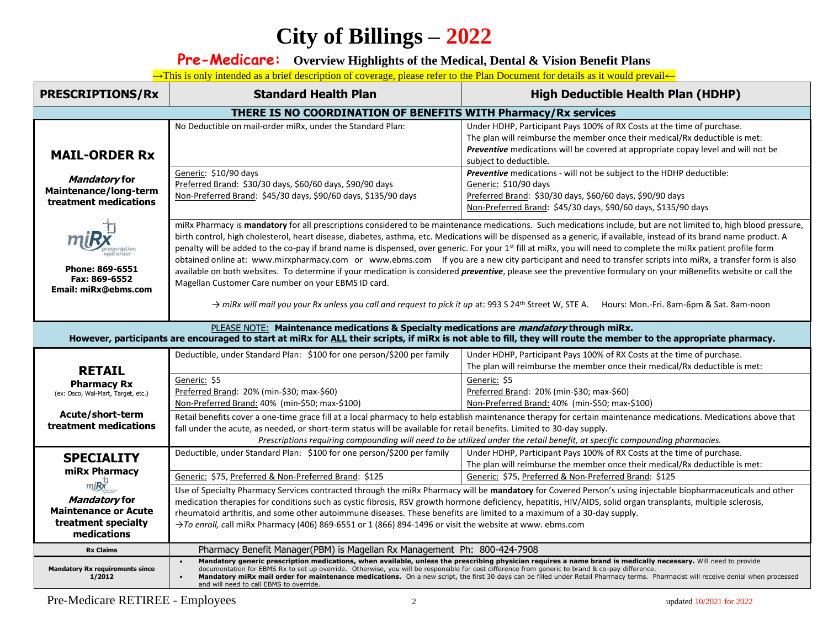**Pre-Medicare: Overview Highlights of the Medical, Dental & Vision Benefit Plans**

→This is only intended as a brief description of coverage, please refer to the Plan Document for details as it would prevail←

| <b>PRESCRIPTIONS/Rx</b>                                                                                                                                                                                                                                              | <b>Standard Health Plan</b>                                                                                                                                                                                                                                                                                                                                                                                                                                                                                                                                                                                                                                                                                                                                                                                                                              | <b>High Deductible Health Plan (HDHP)</b>                                                                                                                                                                                                                            |  |  |  |
|----------------------------------------------------------------------------------------------------------------------------------------------------------------------------------------------------------------------------------------------------------------------|----------------------------------------------------------------------------------------------------------------------------------------------------------------------------------------------------------------------------------------------------------------------------------------------------------------------------------------------------------------------------------------------------------------------------------------------------------------------------------------------------------------------------------------------------------------------------------------------------------------------------------------------------------------------------------------------------------------------------------------------------------------------------------------------------------------------------------------------------------|----------------------------------------------------------------------------------------------------------------------------------------------------------------------------------------------------------------------------------------------------------------------|--|--|--|
| THERE IS NO COORDINATION OF BENEFITS WITH Pharmacy/Rx services                                                                                                                                                                                                       |                                                                                                                                                                                                                                                                                                                                                                                                                                                                                                                                                                                                                                                                                                                                                                                                                                                          |                                                                                                                                                                                                                                                                      |  |  |  |
| <b>MAIL-ORDER Rx</b>                                                                                                                                                                                                                                                 | No Deductible on mail-order miRx, under the Standard Plan:                                                                                                                                                                                                                                                                                                                                                                                                                                                                                                                                                                                                                                                                                                                                                                                               | Under HDHP, Participant Pays 100% of RX Costs at the time of purchase.<br>The plan will reimburse the member once their medical/Rx deductible is met:<br>Preventive medications will be covered at appropriate copay level and will not be<br>subject to deductible. |  |  |  |
| Mandatory for<br>Maintenance/long-term<br>treatment medications                                                                                                                                                                                                      | Generic: \$10/90 days<br>Preferred Brand: \$30/30 days, \$60/60 days, \$90/90 days<br>Non-Preferred Brand: \$45/30 days, \$90/60 days, \$135/90 days                                                                                                                                                                                                                                                                                                                                                                                                                                                                                                                                                                                                                                                                                                     | Preventive medications - will not be subject to the HDHP deductible:<br>Generic: \$10/90 days<br>Preferred Brand: \$30/30 days, \$60/60 days, \$90/90 days<br>Non-Preferred Brand: \$45/30 days, \$90/60 days, \$135/90 days                                         |  |  |  |
| Phone: 869-6551                                                                                                                                                                                                                                                      | miRx Pharmacy is mandatory for all prescriptions considered to be maintenance medications. Such medications include, but are not limited to, high blood pressure,<br>birth control, high cholesterol, heart disease, diabetes, asthma, etc. Medications will be dispensed as a generic, if available, instead of its brand name product. A<br>penalty will be added to the co-pay if brand name is dispensed, over generic. For your 1st fill at miRx, you will need to complete the miRx patient profile form<br>obtained online at: www.mirxpharmacy.com or www.ebms.com If you are a new city participant and need to transfer scripts into miRx, a transfer form is also<br>available on both websites. To determine if your medication is considered <i>preventive</i> , please see the preventive formulary on your miBenefits website or call the |                                                                                                                                                                                                                                                                      |  |  |  |
| Fax: 869-6552<br>Email: miRx@ebms.com                                                                                                                                                                                                                                | Magellan Customer Care number on your EBMS ID card.<br>→ miRx will mail you your Rx unless you call and request to pick it up at: 993 S 24 <sup>th</sup> Street W, STE A. Hours: Mon.-Fri. 8am-6pm & Sat. 8am-noon                                                                                                                                                                                                                                                                                                                                                                                                                                                                                                                                                                                                                                       |                                                                                                                                                                                                                                                                      |  |  |  |
| PLEASE NOTE: Maintenance medications & Specialty medications are <i>mandatory</i> through miRx.<br>However, participants are encouraged to start at miRx for ALL their scripts, if miRx is not able to fill, they will route the member to the appropriate pharmacy. |                                                                                                                                                                                                                                                                                                                                                                                                                                                                                                                                                                                                                                                                                                                                                                                                                                                          |                                                                                                                                                                                                                                                                      |  |  |  |
| <b>RETAIL</b>                                                                                                                                                                                                                                                        | Deductible, under Standard Plan: \$100 for one person/\$200 per family                                                                                                                                                                                                                                                                                                                                                                                                                                                                                                                                                                                                                                                                                                                                                                                   | Under HDHP, Participant Pays 100% of RX Costs at the time of purchase.<br>The plan will reimburse the member once their medical/Rx deductible is met:                                                                                                                |  |  |  |
| <b>Pharmacy Rx</b><br>(ex: Osco, Wal-Mart, Target, etc.)                                                                                                                                                                                                             | Generic: \$5<br>Preferred Brand: 20% (min-\$30; max-\$60)<br>Non-Preferred Brand: 40% (min-\$50; max-\$100)                                                                                                                                                                                                                                                                                                                                                                                                                                                                                                                                                                                                                                                                                                                                              | Generic: \$5<br>Preferred Brand: 20% (min-\$30; max-\$60)<br>Non-Preferred Brand: 40% (min-\$50; max-\$100)                                                                                                                                                          |  |  |  |
| Acute/short-term<br>treatment medications                                                                                                                                                                                                                            | Retail benefits cover a one-time grace fill at a local pharmacy to help establish maintenance therapy for certain maintenance medications. Medications above that<br>fall under the acute, as needed, or short-term status will be available for retail benefits. Limited to 30-day supply.<br>Prescriptions requiring compounding will need to be utilized under the retail benefit, at specific compounding pharmacies.                                                                                                                                                                                                                                                                                                                                                                                                                                |                                                                                                                                                                                                                                                                      |  |  |  |
| <b>SPECIALITY</b><br>miRx Pharmacy                                                                                                                                                                                                                                   | Deductible, under Standard Plan: \$100 for one person/\$200 per family                                                                                                                                                                                                                                                                                                                                                                                                                                                                                                                                                                                                                                                                                                                                                                                   | Under HDHP, Participant Pays 100% of RX Costs at the time of purchase.<br>The plan will reimburse the member once their medical/Rx deductible is met:                                                                                                                |  |  |  |
| m(BX)                                                                                                                                                                                                                                                                | Generic: \$75, Preferred & Non-Preferred Brand: \$125                                                                                                                                                                                                                                                                                                                                                                                                                                                                                                                                                                                                                                                                                                                                                                                                    | Generic: \$75, Preferred & Non-Preferred Brand: \$125                                                                                                                                                                                                                |  |  |  |
| Mandatory for<br><b>Maintenance or Acute</b><br>treatment specialty<br>medications                                                                                                                                                                                   | Use of Specialty Pharmacy Services contracted through the miRx Pharmacy will be mandatory for Covered Person's using injectable biopharmaceuticals and other<br>medication therapies for conditions such as cystic fibrosis, RSV growth hormone deficiency, hepatitis, HIV/AIDS, solid organ transplants, multiple sclerosis,<br>rheumatoid arthritis, and some other autoimmune diseases. These benefits are limited to a maximum of a 30-day supply.<br>>To enroll, call miRx Pharmacy (406) 869-6551 or 1 (866) 894-1496 or visit the website at www. ebms.com                                                                                                                                                                                                                                                                                        |                                                                                                                                                                                                                                                                      |  |  |  |
| <b>Rx Claims</b>                                                                                                                                                                                                                                                     | Pharmacy Benefit Manager(PBM) is Magellan Rx Management Ph: 800-424-7908                                                                                                                                                                                                                                                                                                                                                                                                                                                                                                                                                                                                                                                                                                                                                                                 |                                                                                                                                                                                                                                                                      |  |  |  |
| <b>Mandatory Rx requirements since</b><br>1/2012                                                                                                                                                                                                                     | Mandatory generic prescription medications, when available, unless the prescribing physician requires a name brand is medically necessary. Will need to provide<br>documentation for EBMS Rx to set up override. Otherwise, you will be responsible for cost difference from generic to brand & co-pay difference.<br>Mandatory miRx mail order for maintenance medications. On a new script, the first 30 days can be filled under Retail Pharmacy terms. Pharmacist will receive denial when processed<br>and will need to call EBMS to override.                                                                                                                                                                                                                                                                                                      |                                                                                                                                                                                                                                                                      |  |  |  |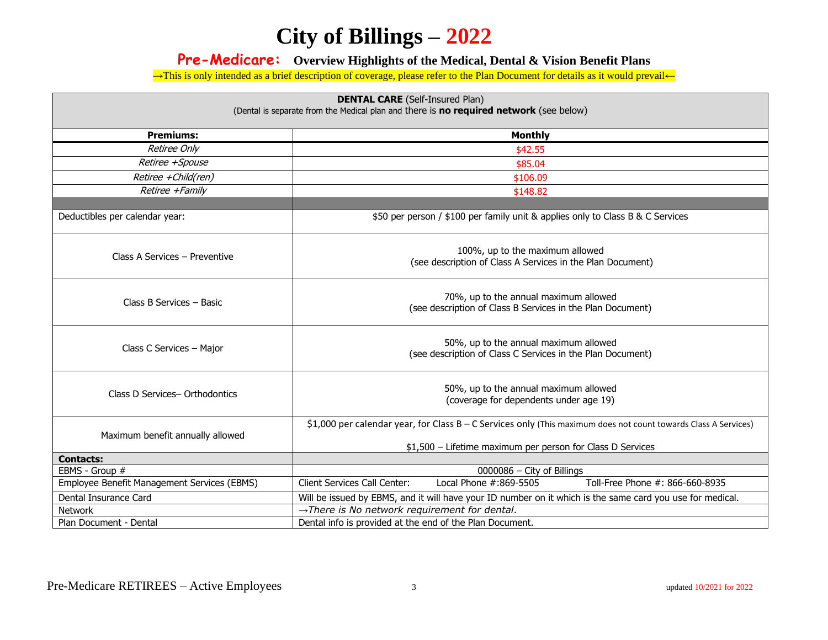#### **Pre-Medicare: Overview Highlights of the Medical, Dental & Vision Benefit Plans**

→This is only intended as a brief description of coverage, please refer to the Plan Document for details as it would prevail←

| <b>DENTAL CARE</b> (Self-Insured Plan)<br>(Dental is separate from the Medical plan and there is no required network (see below) |                                                                                                                                                                               |  |  |  |
|----------------------------------------------------------------------------------------------------------------------------------|-------------------------------------------------------------------------------------------------------------------------------------------------------------------------------|--|--|--|
| <b>Premiums:</b>                                                                                                                 | <b>Monthly</b>                                                                                                                                                                |  |  |  |
| <b>Retiree Only</b>                                                                                                              | \$42.55                                                                                                                                                                       |  |  |  |
| Retiree +Spouse                                                                                                                  | \$85.04                                                                                                                                                                       |  |  |  |
| Retiree +Child(ren)                                                                                                              | \$106.09                                                                                                                                                                      |  |  |  |
| Retiree +Family                                                                                                                  | \$148.82                                                                                                                                                                      |  |  |  |
|                                                                                                                                  |                                                                                                                                                                               |  |  |  |
| Deductibles per calendar year:                                                                                                   | \$50 per person / \$100 per family unit & applies only to Class B & C Services                                                                                                |  |  |  |
| Class A Services - Preventive                                                                                                    | 100%, up to the maximum allowed<br>(see description of Class A Services in the Plan Document)                                                                                 |  |  |  |
| Class B Services - Basic                                                                                                         | 70%, up to the annual maximum allowed<br>(see description of Class B Services in the Plan Document)                                                                           |  |  |  |
| Class C Services - Major                                                                                                         | 50%, up to the annual maximum allowed<br>(see description of Class C Services in the Plan Document)                                                                           |  |  |  |
| Class D Services-Orthodontics                                                                                                    | 50%, up to the annual maximum allowed<br>(coverage for dependents under age 19)                                                                                               |  |  |  |
| Maximum benefit annually allowed                                                                                                 | \$1,000 per calendar year, for Class B - C Services only (This maximum does not count towards Class A Services)<br>\$1,500 - Lifetime maximum per person for Class D Services |  |  |  |
| <b>Contacts:</b>                                                                                                                 |                                                                                                                                                                               |  |  |  |
| EBMS - Group #                                                                                                                   | 0000086 - City of Billings                                                                                                                                                    |  |  |  |
| Employee Benefit Management Services (EBMS)                                                                                      | Local Phone #:869-5505<br><b>Client Services Call Center:</b><br>Toll-Free Phone #: 866-660-8935                                                                              |  |  |  |
| Dental Insurance Card                                                                                                            | Will be issued by EBMS, and it will have your ID number on it which is the same card you use for medical.                                                                     |  |  |  |
| Network                                                                                                                          | $\rightarrow$ There is No network requirement for dental.                                                                                                                     |  |  |  |
| Plan Document - Dental                                                                                                           | Dental info is provided at the end of the Plan Document.                                                                                                                      |  |  |  |